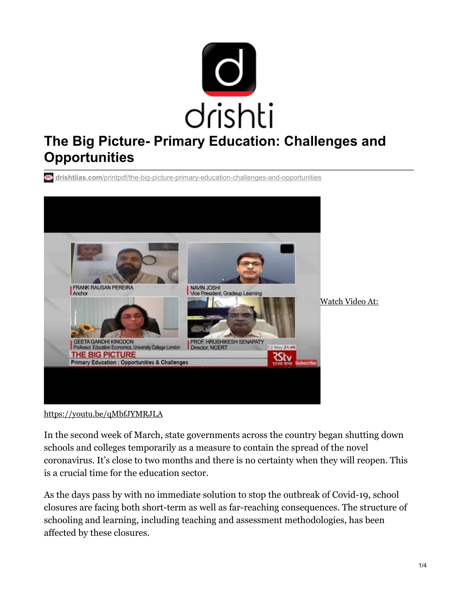

# **The Big Picture- Primary Education: Challenges and Opportunities**

**drishtiias.com**[/printpdf/the-big-picture-primary-education-challenges-and-opportunities](https://www.drishtiias.com/printpdf/the-big-picture-primary-education-challenges-and-opportunities)



Watch Video At:

<https://youtu.be/qMbfJYMRJLA>

In the second week of March, state governments across the country began shutting down schools and colleges temporarily as a measure to contain the spread of the novel coronavirus. It's close to two months and there is no certainty when they will reopen. This is a crucial time for the education sector.

As the days pass by with no immediate solution to stop the outbreak of Covid-19, school closures are facing both short-term as well as far-reaching consequences. The structure of schooling and learning, including teaching and assessment methodologies, has been affected by these closures.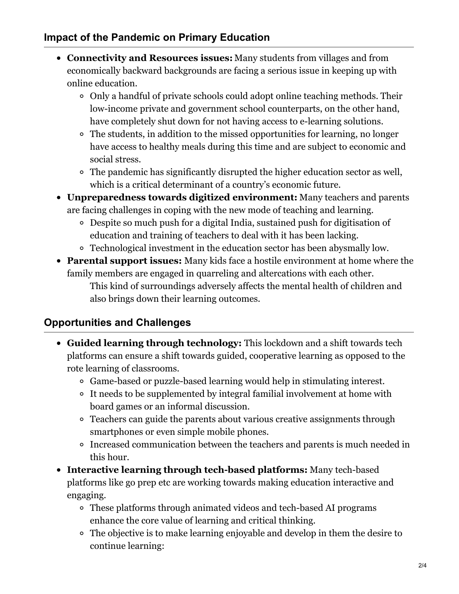#### **Impact of the Pandemic on Primary Education**

- **Connectivity and Resources issues:** Many students from villages and from economically backward backgrounds are facing a serious issue in keeping up with online education.
	- Only a handful of private schools could adopt online teaching methods. Their low-income private and government school counterparts, on the other hand, have completely shut down for not having access to e-learning solutions.
	- The students, in addition to the missed opportunities for learning, no longer have access to healthy meals during this time and are subject to economic and social stress.
	- The pandemic has significantly disrupted the higher education sector as well, which is a critical determinant of a country's economic future.
- **Unpreparedness towards digitized environment:** Many teachers and parents are facing challenges in coping with the new mode of teaching and learning.
	- Despite so much push for a digital India, sustained push for digitisation of education and training of teachers to deal with it has been lacking.
	- Technological investment in the education sector has been abysmally low.
- **Parental support issues:** Many kids face a hostile environment at home where the family members are engaged in quarreling and altercations with each other. This kind of surroundings adversely affects the mental health of children and also brings down their learning outcomes.

## **Opportunities and Challenges**

- **Guided learning through technology:** This lockdown and a shift towards tech platforms can ensure a shift towards guided, cooperative learning as opposed to the rote learning of classrooms.
	- Game-based or puzzle-based learning would help in stimulating interest.
	- <sup>o</sup> It needs to be supplemented by integral familial involvement at home with board games or an informal discussion.
	- Teachers can guide the parents about various creative assignments through smartphones or even simple mobile phones.
	- Increased communication between the teachers and parents is much needed in this hour.
- **Interactive learning through tech-based platforms:** Many tech-based platforms like go prep etc are working towards making education interactive and engaging.
	- These platforms through animated videos and tech-based AI programs enhance the core value of learning and critical thinking.
	- The objective is to make learning enjoyable and develop in them the desire to continue learning: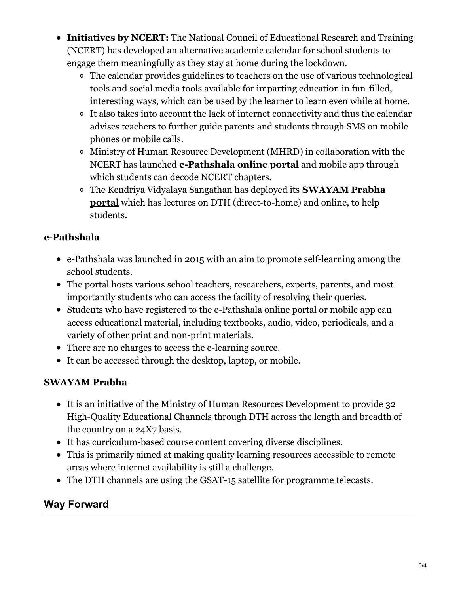- **Initiatives by NCERT:** The National Council of Educational Research and Training (NCERT) has developed an alternative academic calendar for school students to engage them meaningfully as they stay at home during the lockdown.
	- The calendar provides guidelines to teachers on the use of various technological tools and social media tools available for imparting education in fun-filled, interesting ways, which can be used by the learner to learn even while at home.
	- It also takes into account the lack of internet connectivity and thus the calendar advises teachers to further guide parents and students through SMS on mobile phones or mobile calls.
	- Ministry of Human Resource Development (MHRD) in collaboration with the NCERT has launched **e-Pathshala online portal** and mobile app through which students can decode NCERT chapters.
	- The Kendriya Vidyalaya Sangathan has deployed its **SWAYAM Prabha portal** which has lectures on DTH [\(direct-to-home\)](https://www.drishtiias.com/daily-updates/daily-news-analysis/online-classes-due-to-covid-19) and online, to help students.

### **e-Pathshala**

- e-Pathshala was launched in 2015 with an aim to promote self-learning among the school students.
- The portal hosts various school teachers, researchers, experts, parents, and most importantly students who can access the facility of resolving their queries.
- Students who have registered to the e-Pathshala online portal or mobile app can access educational material, including textbooks, audio, video, periodicals, and a variety of other print and non-print materials.
- There are no charges to access the e-learning source.
- It can be accessed through the desktop, laptop, or mobile.

### **SWAYAM Prabha**

- It is an initiative of the Ministry of Human Resources Development to provide 32 High-Quality Educational Channels through DTH across the length and breadth of the country on a 24X7 basis.
- It has curriculum-based course content covering diverse disciplines.
- This is primarily aimed at making quality learning resources accessible to remote areas where internet availability is still a challenge.
- The DTH channels are using the GSAT-15 satellite for programme telecasts.

## **Way Forward**